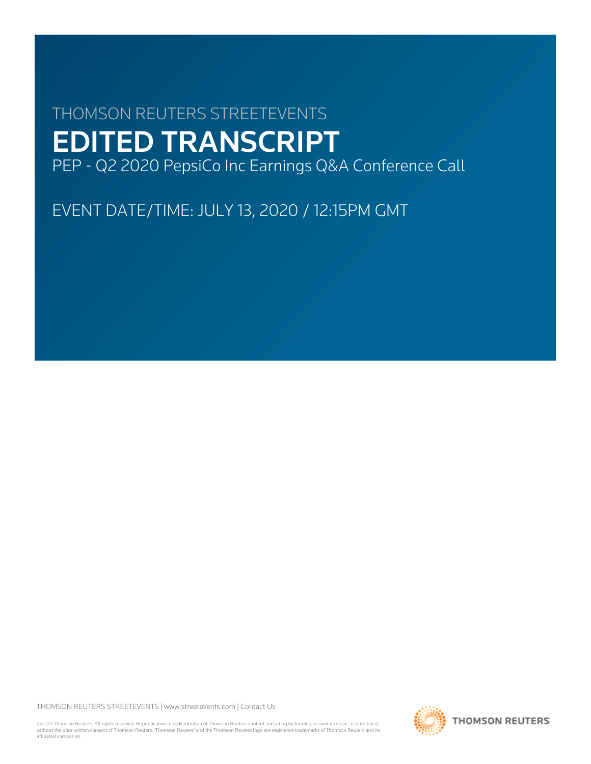# THOMSON REUTERS STREETEVENTS EDITED TRANSCRIPT PEP - Q2 2020 PepsiCo Inc Earnings Q&A Conference Call

EVENT DATE/TIME: JULY 13, 2020 / 12:15PM GMT

THOMSON REUTERS STREETEVENTS | [www.streetevents.com](http://www.streetevents.com) | [Contact Us](http://www010.streetevents.com/contact.asp)

©2020 Thomson Reuters. All rights reserved. Republication or redistribution of Thomson Reuters content, including by framing or similar means, is prohibited without the prior written consent of Thomson Reuters. 'Thomson Reuters' and the Thomson Reuters logo are registered trademarks of Thomson Reuters and its affiliated companies.

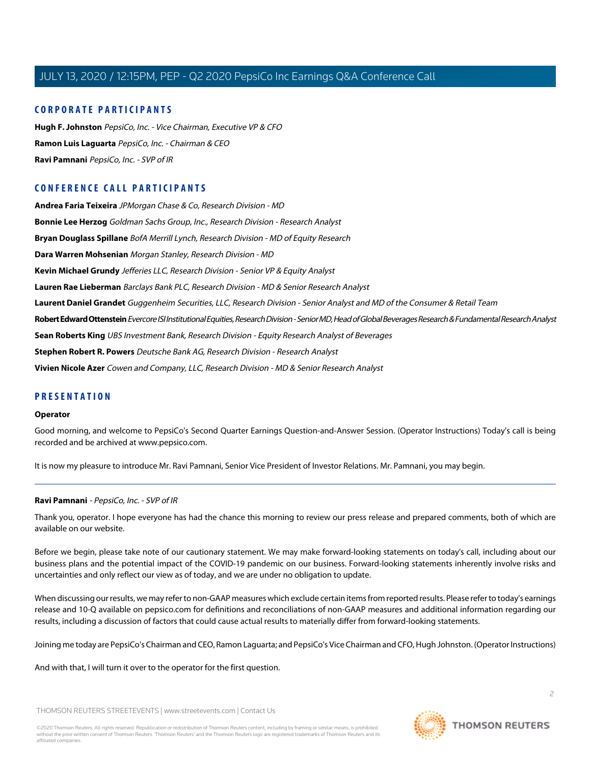### **CORPORATE PARTICIPANTS**

**[Hugh F. Johnston](#page-3-0)** PepsiCo, Inc. - Vice Chairman, Executive VP & CFO **[Ramon Luis Laguarta](#page-2-0)** PepsiCo, Inc. - Chairman & CEO **[Ravi Pamnani](#page-1-0)** PepsiCo, Inc. - SVP of IR

## **CONFERENCE CALL PARTICIPANTS**

**[Andrea Faria Teixeira](#page-4-0)** JPMorgan Chase & Co, Research Division - MD **[Bonnie Lee Herzog](#page-6-0)** Goldman Sachs Group, Inc., Research Division - Research Analyst **[Bryan Douglass Spillane](#page-3-1)** BofA Merrill Lynch, Research Division - MD of Equity Research **[Dara Warren Mohsenian](#page-2-1)** Morgan Stanley, Research Division - MD **[Kevin Michael Grundy](#page-4-1)** Jefferies LLC, Research Division - Senior VP & Equity Analyst **[Lauren Rae Lieberman](#page-7-0)** Barclays Bank PLC, Research Division - MD & Senior Research Analyst **[Laurent Daniel Grandet](#page-8-0)** Guggenheim Securities, LLC, Research Division - Senior Analyst and MD of the Consumer & Retail Team **[Robert Edward Ottenstein](#page-9-0)** Evercore ISI Institutional Equities, Research Division - Senior MD, Head of Global Beverages Research & Fundamental Research Analyst **[Sean Roberts King](#page-10-0)** UBS Investment Bank, Research Division - Equity Research Analyst of Beverages **[Stephen Robert R. Powers](#page-9-1)** Deutsche Bank AG, Research Division - Research Analyst **[Vivien Nicole Azer](#page-6-1)** Cowen and Company, LLC, Research Division - MD & Senior Research Analyst

#### **PRESENTATION**

#### **Operator**

Good morning, and welcome to PepsiCo's Second Quarter Earnings Question-and-Answer Session. (Operator Instructions) Today's call is being recorded and be archived at www.pepsico.com.

<span id="page-1-0"></span>It is now my pleasure to introduce Mr. Ravi Pamnani, Senior Vice President of Investor Relations. Mr. Pamnani, you may begin.

#### **Ravi Pamnani** - PepsiCo, Inc. - SVP of IR

Thank you, operator. I hope everyone has had the chance this morning to review our press release and prepared comments, both of which are available on our website.

Before we begin, please take note of our cautionary statement. We may make forward-looking statements on today's call, including about our business plans and the potential impact of the COVID-19 pandemic on our business. Forward-looking statements inherently involve risks and uncertainties and only reflect our view as of today, and we are under no obligation to update.

When discussing our results, we may refer to non-GAAP measures which exclude certain items from reported results. Please refer to today's earnings release and 10-Q available on pepsico.com for definitions and reconciliations of non-GAAP measures and additional information regarding our results, including a discussion of factors that could cause actual results to materially differ from forward-looking statements.

Joining me today are PepsiCo's Chairman and CEO, Ramon Laguarta; and PepsiCo's Vice Chairman and CFO, Hugh Johnston. (Operator Instructions)

And with that, I will turn it over to the operator for the first question.

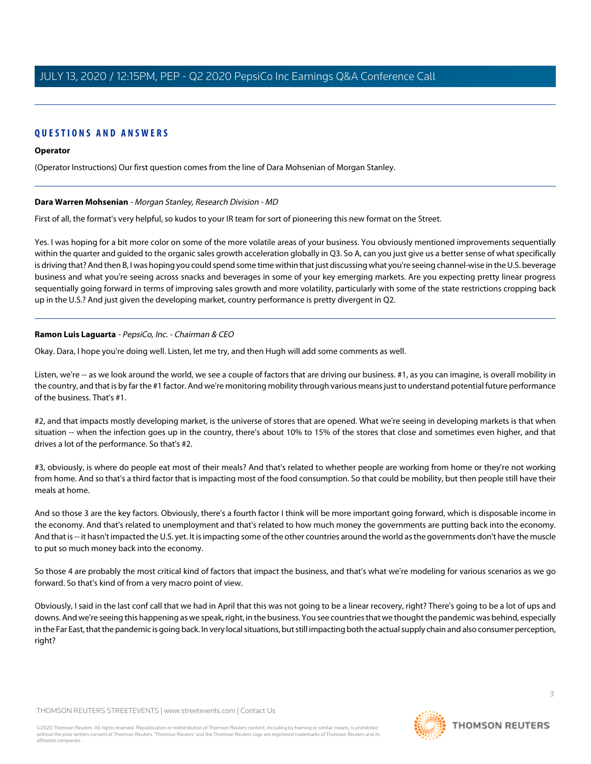## **QUESTIONS AND ANSWERS**

#### **Operator**

<span id="page-2-1"></span>(Operator Instructions) Our first question comes from the line of Dara Mohsenian of Morgan Stanley.

#### **Dara Warren Mohsenian** - Morgan Stanley, Research Division - MD

First of all, the format's very helpful, so kudos to your IR team for sort of pioneering this new format on the Street.

Yes. I was hoping for a bit more color on some of the more volatile areas of your business. You obviously mentioned improvements sequentially within the quarter and guided to the organic sales growth acceleration globally in Q3. So A, can you just give us a better sense of what specifically is driving that? And then B, I was hoping you could spend some time within that just discussing what you're seeing channel-wise in the U.S. beverage business and what you're seeing across snacks and beverages in some of your key emerging markets. Are you expecting pretty linear progress sequentially going forward in terms of improving sales growth and more volatility, particularly with some of the state restrictions cropping back up in the U.S.? And just given the developing market, country performance is pretty divergent in Q2.

#### <span id="page-2-0"></span>**Ramon Luis Laguarta** - PepsiCo, Inc. - Chairman & CEO

Okay. Dara, I hope you're doing well. Listen, let me try, and then Hugh will add some comments as well.

Listen, we're -- as we look around the world, we see a couple of factors that are driving our business. #1, as you can imagine, is overall mobility in the country, and that is by far the #1 factor. And we're monitoring mobility through various means just to understand potential future performance of the business. That's #1.

#2, and that impacts mostly developing market, is the universe of stores that are opened. What we're seeing in developing markets is that when situation -- when the infection goes up in the country, there's about 10% to 15% of the stores that close and sometimes even higher, and that drives a lot of the performance. So that's #2.

#3, obviously, is where do people eat most of their meals? And that's related to whether people are working from home or they're not working from home. And so that's a third factor that is impacting most of the food consumption. So that could be mobility, but then people still have their meals at home.

And so those 3 are the key factors. Obviously, there's a fourth factor I think will be more important going forward, which is disposable income in the economy. And that's related to unemployment and that's related to how much money the governments are putting back into the economy. And that is -- it hasn't impacted the U.S. yet. It is impacting some of the other countries around the world as the governments don't have the muscle to put so much money back into the economy.

So those 4 are probably the most critical kind of factors that impact the business, and that's what we're modeling for various scenarios as we go forward. So that's kind of from a very macro point of view.

Obviously, I said in the last conf call that we had in April that this was not going to be a linear recovery, right? There's going to be a lot of ups and downs. And we're seeing this happening as we speak, right, in the business. You see countries that we thought the pandemic was behind, especially in the Far East, that the pandemic is going back. In very local situations, but still impacting both the actual supply chain and also consumer perception, right?

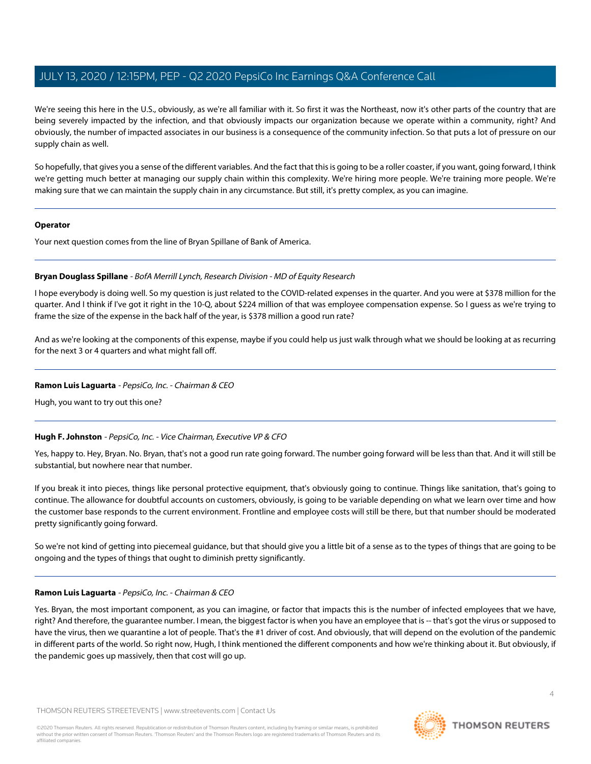We're seeing this here in the U.S., obviously, as we're all familiar with it. So first it was the Northeast, now it's other parts of the country that are being severely impacted by the infection, and that obviously impacts our organization because we operate within a community, right? And obviously, the number of impacted associates in our business is a consequence of the community infection. So that puts a lot of pressure on our supply chain as well.

So hopefully, that gives you a sense of the different variables. And the fact that this is going to be a roller coaster, if you want, going forward, I think we're getting much better at managing our supply chain within this complexity. We're hiring more people. We're training more people. We're making sure that we can maintain the supply chain in any circumstance. But still, it's pretty complex, as you can imagine.

#### **Operator**

<span id="page-3-1"></span>Your next question comes from the line of Bryan Spillane of Bank of America.

#### **Bryan Douglass Spillane** - BofA Merrill Lynch, Research Division - MD of Equity Research

I hope everybody is doing well. So my question is just related to the COVID-related expenses in the quarter. And you were at \$378 million for the quarter. And I think if I've got it right in the 10-Q, about \$224 million of that was employee compensation expense. So I guess as we're trying to frame the size of the expense in the back half of the year, is \$378 million a good run rate?

And as we're looking at the components of this expense, maybe if you could help us just walk through what we should be looking at as recurring for the next 3 or 4 quarters and what might fall off.

#### **Ramon Luis Laguarta** - PepsiCo, Inc. - Chairman & CEO

<span id="page-3-0"></span>Hugh, you want to try out this one?

#### **Hugh F. Johnston** - PepsiCo, Inc. - Vice Chairman, Executive VP & CFO

Yes, happy to. Hey, Bryan. No. Bryan, that's not a good run rate going forward. The number going forward will be less than that. And it will still be substantial, but nowhere near that number.

If you break it into pieces, things like personal protective equipment, that's obviously going to continue. Things like sanitation, that's going to continue. The allowance for doubtful accounts on customers, obviously, is going to be variable depending on what we learn over time and how the customer base responds to the current environment. Frontline and employee costs will still be there, but that number should be moderated pretty significantly going forward.

So we're not kind of getting into piecemeal guidance, but that should give you a little bit of a sense as to the types of things that are going to be ongoing and the types of things that ought to diminish pretty significantly.

#### **Ramon Luis Laguarta** - PepsiCo, Inc. - Chairman & CEO

Yes. Bryan, the most important component, as you can imagine, or factor that impacts this is the number of infected employees that we have, right? And therefore, the guarantee number. I mean, the biggest factor is when you have an employee that is -- that's got the virus or supposed to have the virus, then we quarantine a lot of people. That's the #1 driver of cost. And obviously, that will depend on the evolution of the pandemic in different parts of the world. So right now, Hugh, I think mentioned the different components and how we're thinking about it. But obviously, if the pandemic goes up massively, then that cost will go up.

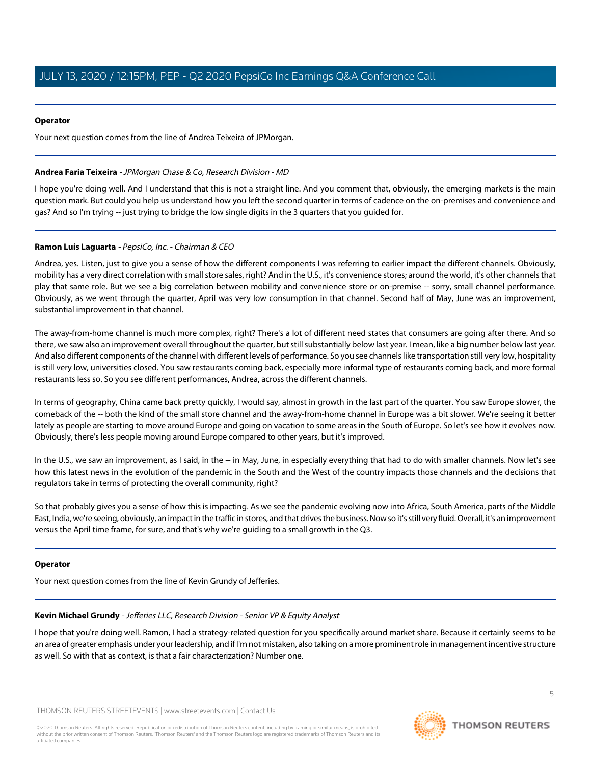#### **Operator**

Your next question comes from the line of Andrea Teixeira of JPMorgan.

#### <span id="page-4-0"></span>**Andrea Faria Teixeira** - JPMorgan Chase & Co, Research Division - MD

I hope you're doing well. And I understand that this is not a straight line. And you comment that, obviously, the emerging markets is the main question mark. But could you help us understand how you left the second quarter in terms of cadence on the on-premises and convenience and gas? And so I'm trying -- just trying to bridge the low single digits in the 3 quarters that you guided for.

#### **Ramon Luis Laguarta** - PepsiCo, Inc. - Chairman & CEO

Andrea, yes. Listen, just to give you a sense of how the different components I was referring to earlier impact the different channels. Obviously, mobility has a very direct correlation with small store sales, right? And in the U.S., it's convenience stores; around the world, it's other channels that play that same role. But we see a big correlation between mobility and convenience store or on-premise -- sorry, small channel performance. Obviously, as we went through the quarter, April was very low consumption in that channel. Second half of May, June was an improvement, substantial improvement in that channel.

The away-from-home channel is much more complex, right? There's a lot of different need states that consumers are going after there. And so there, we saw also an improvement overall throughout the quarter, but still substantially below last year. I mean, like a big number below last year. And also different components of the channel with different levels of performance. So you see channels like transportation still very low, hospitality is still very low, universities closed. You saw restaurants coming back, especially more informal type of restaurants coming back, and more formal restaurants less so. So you see different performances, Andrea, across the different channels.

In terms of geography, China came back pretty quickly, I would say, almost in growth in the last part of the quarter. You saw Europe slower, the comeback of the -- both the kind of the small store channel and the away-from-home channel in Europe was a bit slower. We're seeing it better lately as people are starting to move around Europe and going on vacation to some areas in the South of Europe. So let's see how it evolves now. Obviously, there's less people moving around Europe compared to other years, but it's improved.

In the U.S., we saw an improvement, as I said, in the -- in May, June, in especially everything that had to do with smaller channels. Now let's see how this latest news in the evolution of the pandemic in the South and the West of the country impacts those channels and the decisions that regulators take in terms of protecting the overall community, right?

So that probably gives you a sense of how this is impacting. As we see the pandemic evolving now into Africa, South America, parts of the Middle East, India, we're seeing, obviously, an impact in the traffic in stores, and that drives the business. Now so it's still very fluid. Overall, it's an improvement versus the April time frame, for sure, and that's why we're guiding to a small growth in the Q3.

#### <span id="page-4-1"></span>**Operator**

Your next question comes from the line of Kevin Grundy of Jefferies.

#### **Kevin Michael Grundy** - Jefferies LLC, Research Division - Senior VP & Equity Analyst

I hope that you're doing well. Ramon, I had a strategy-related question for you specifically around market share. Because it certainly seems to be an area of greater emphasis under your leadership, and if I'm not mistaken, also taking on a more prominent role in management incentive structure as well. So with that as context, is that a fair characterization? Number one.

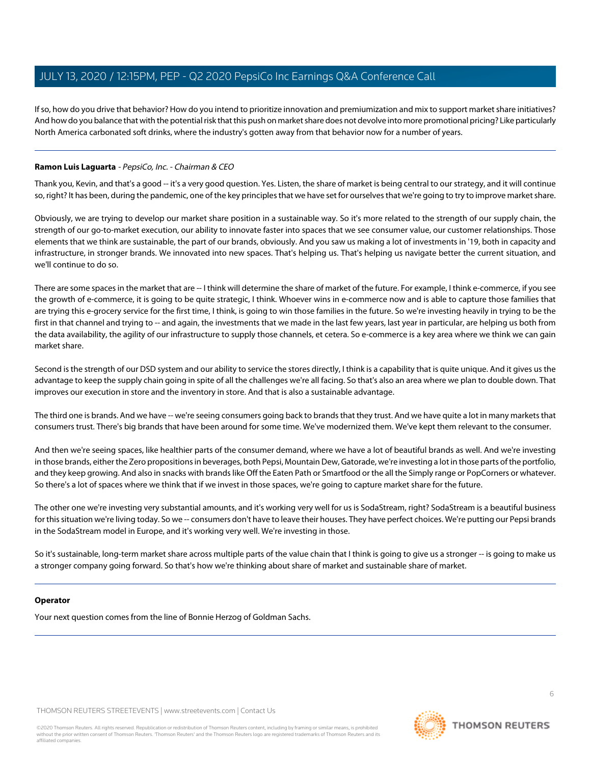If so, how do you drive that behavior? How do you intend to prioritize innovation and premiumization and mix to support market share initiatives? And how do you balance that with the potential risk that this push on market share does not devolve into more promotional pricing? Like particularly North America carbonated soft drinks, where the industry's gotten away from that behavior now for a number of years.

### **Ramon Luis Laguarta** - PepsiCo, Inc. - Chairman & CEO

Thank you, Kevin, and that's a good -- it's a very good question. Yes. Listen, the share of market is being central to our strategy, and it will continue so, right? It has been, during the pandemic, one of the key principles that we have set for ourselves that we're going to try to improve market share.

Obviously, we are trying to develop our market share position in a sustainable way. So it's more related to the strength of our supply chain, the strength of our go-to-market execution, our ability to innovate faster into spaces that we see consumer value, our customer relationships. Those elements that we think are sustainable, the part of our brands, obviously. And you saw us making a lot of investments in '19, both in capacity and infrastructure, in stronger brands. We innovated into new spaces. That's helping us. That's helping us navigate better the current situation, and we'll continue to do so.

There are some spaces in the market that are -- I think will determine the share of market of the future. For example, I think e-commerce, if you see the growth of e-commerce, it is going to be quite strategic, I think. Whoever wins in e-commerce now and is able to capture those families that are trying this e-grocery service for the first time, I think, is going to win those families in the future. So we're investing heavily in trying to be the first in that channel and trying to -- and again, the investments that we made in the last few years, last year in particular, are helping us both from the data availability, the agility of our infrastructure to supply those channels, et cetera. So e-commerce is a key area where we think we can gain market share.

Second is the strength of our DSD system and our ability to service the stores directly, I think is a capability that is quite unique. And it gives us the advantage to keep the supply chain going in spite of all the challenges we're all facing. So that's also an area where we plan to double down. That improves our execution in store and the inventory in store. And that is also a sustainable advantage.

The third one is brands. And we have -- we're seeing consumers going back to brands that they trust. And we have quite a lot in many markets that consumers trust. There's big brands that have been around for some time. We've modernized them. We've kept them relevant to the consumer.

And then we're seeing spaces, like healthier parts of the consumer demand, where we have a lot of beautiful brands as well. And we're investing in those brands, either the Zero propositions in beverages, both Pepsi, Mountain Dew, Gatorade, we're investing a lot in those parts of the portfolio, and they keep growing. And also in snacks with brands like Off the Eaten Path or Smartfood or the all the Simply range or PopCorners or whatever. So there's a lot of spaces where we think that if we invest in those spaces, we're going to capture market share for the future.

The other one we're investing very substantial amounts, and it's working very well for us is SodaStream, right? SodaStream is a beautiful business for this situation we're living today. So we -- consumers don't have to leave their houses. They have perfect choices. We're putting our Pepsi brands in the SodaStream model in Europe, and it's working very well. We're investing in those.

So it's sustainable, long-term market share across multiple parts of the value chain that I think is going to give us a stronger -- is going to make us a stronger company going forward. So that's how we're thinking about share of market and sustainable share of market.

#### **Operator**

Your next question comes from the line of Bonnie Herzog of Goldman Sachs.

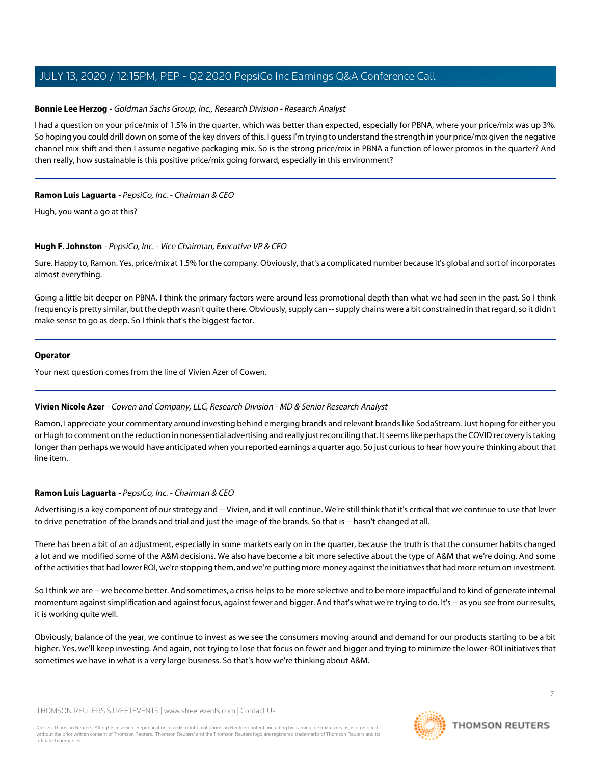#### <span id="page-6-0"></span>**Bonnie Lee Herzog** - Goldman Sachs Group, Inc., Research Division - Research Analyst

I had a question on your price/mix of 1.5% in the quarter, which was better than expected, especially for PBNA, where your price/mix was up 3%. So hoping you could drill down on some of the key drivers of this. I guess I'm trying to understand the strength in your price/mix given the negative channel mix shift and then I assume negative packaging mix. So is the strong price/mix in PBNA a function of lower promos in the quarter? And then really, how sustainable is this positive price/mix going forward, especially in this environment?

#### **Ramon Luis Laguarta** - PepsiCo, Inc. - Chairman & CEO

Hugh, you want a go at this?

#### **Hugh F. Johnston** - PepsiCo, Inc. - Vice Chairman, Executive VP & CFO

Sure. Happy to, Ramon. Yes, price/mix at 1.5% for the company. Obviously, that's a complicated number because it's global and sort of incorporates almost everything.

Going a little bit deeper on PBNA. I think the primary factors were around less promotional depth than what we had seen in the past. So I think frequency is pretty similar, but the depth wasn't quite there. Obviously, supply can -- supply chains were a bit constrained in that regard, so it didn't make sense to go as deep. So I think that's the biggest factor.

#### **Operator**

<span id="page-6-1"></span>Your next question comes from the line of Vivien Azer of Cowen.

#### **Vivien Nicole Azer** - Cowen and Company, LLC, Research Division - MD & Senior Research Analyst

Ramon, I appreciate your commentary around investing behind emerging brands and relevant brands like SodaStream. Just hoping for either you or Hugh to comment on the reduction in nonessential advertising and really just reconciling that. It seems like perhaps the COVID recovery is taking longer than perhaps we would have anticipated when you reported earnings a quarter ago. So just curious to hear how you're thinking about that line item.

#### **Ramon Luis Laguarta** - PepsiCo, Inc. - Chairman & CEO

Advertising is a key component of our strategy and -- Vivien, and it will continue. We're still think that it's critical that we continue to use that lever to drive penetration of the brands and trial and just the image of the brands. So that is -- hasn't changed at all.

There has been a bit of an adjustment, especially in some markets early on in the quarter, because the truth is that the consumer habits changed a lot and we modified some of the A&M decisions. We also have become a bit more selective about the type of A&M that we're doing. And some of the activities that had lower ROI, we're stopping them, and we're putting more money against the initiatives that had more return on investment.

So I think we are -- we become better. And sometimes, a crisis helps to be more selective and to be more impactful and to kind of generate internal momentum against simplification and against focus, against fewer and bigger. And that's what we're trying to do. It's -- as you see from our results, it is working quite well.

Obviously, balance of the year, we continue to invest as we see the consumers moving around and demand for our products starting to be a bit higher. Yes, we'll keep investing. And again, not trying to lose that focus on fewer and bigger and trying to minimize the lower-ROI initiatives that sometimes we have in what is a very large business. So that's how we're thinking about A&M.

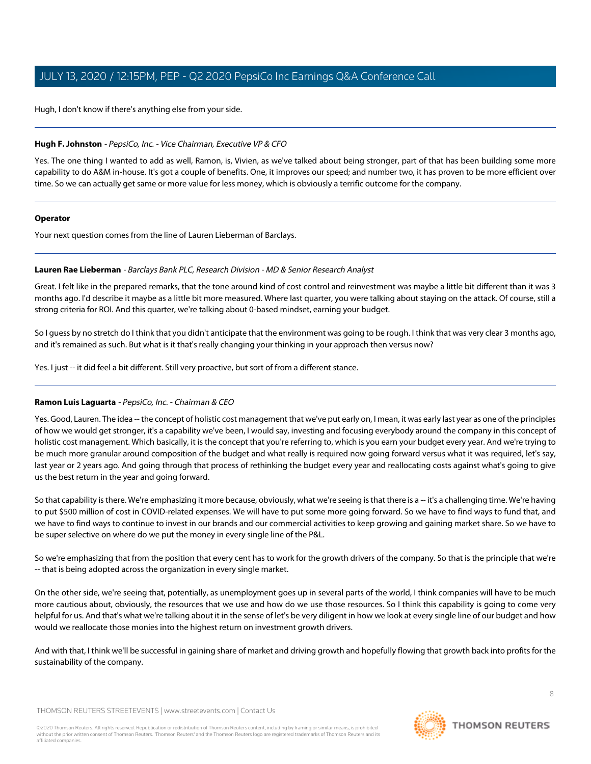Hugh, I don't know if there's anything else from your side.

#### **Hugh F. Johnston** - PepsiCo, Inc. - Vice Chairman, Executive VP & CFO

Yes. The one thing I wanted to add as well, Ramon, is, Vivien, as we've talked about being stronger, part of that has been building some more capability to do A&M in-house. It's got a couple of benefits. One, it improves our speed; and number two, it has proven to be more efficient over time. So we can actually get same or more value for less money, which is obviously a terrific outcome for the company.

#### **Operator**

<span id="page-7-0"></span>Your next question comes from the line of Lauren Lieberman of Barclays.

#### **Lauren Rae Lieberman** - Barclays Bank PLC, Research Division - MD & Senior Research Analyst

Great. I felt like in the prepared remarks, that the tone around kind of cost control and reinvestment was maybe a little bit different than it was 3 months ago. I'd describe it maybe as a little bit more measured. Where last quarter, you were talking about staying on the attack. Of course, still a strong criteria for ROI. And this quarter, we're talking about 0-based mindset, earning your budget.

So I guess by no stretch do I think that you didn't anticipate that the environment was going to be rough. I think that was very clear 3 months ago, and it's remained as such. But what is it that's really changing your thinking in your approach then versus now?

Yes. I just -- it did feel a bit different. Still very proactive, but sort of from a different stance.

#### **Ramon Luis Laguarta** - PepsiCo, Inc. - Chairman & CEO

Yes. Good, Lauren. The idea -- the concept of holistic cost management that we've put early on, I mean, it was early last year as one of the principles of how we would get stronger, it's a capability we've been, I would say, investing and focusing everybody around the company in this concept of holistic cost management. Which basically, it is the concept that you're referring to, which is you earn your budget every year. And we're trying to be much more granular around composition of the budget and what really is required now going forward versus what it was required, let's say, last year or 2 years ago. And going through that process of rethinking the budget every year and reallocating costs against what's going to give us the best return in the year and going forward.

So that capability is there. We're emphasizing it more because, obviously, what we're seeing is that there is a -- it's a challenging time. We're having to put \$500 million of cost in COVID-related expenses. We will have to put some more going forward. So we have to find ways to fund that, and we have to find ways to continue to invest in our brands and our commercial activities to keep growing and gaining market share. So we have to be super selective on where do we put the money in every single line of the P&L.

So we're emphasizing that from the position that every cent has to work for the growth drivers of the company. So that is the principle that we're -- that is being adopted across the organization in every single market.

On the other side, we're seeing that, potentially, as unemployment goes up in several parts of the world, I think companies will have to be much more cautious about, obviously, the resources that we use and how do we use those resources. So I think this capability is going to come very helpful for us. And that's what we're talking about it in the sense of let's be very diligent in how we look at every single line of our budget and how would we reallocate those monies into the highest return on investment growth drivers.

And with that, I think we'll be successful in gaining share of market and driving growth and hopefully flowing that growth back into profits for the sustainability of the company.

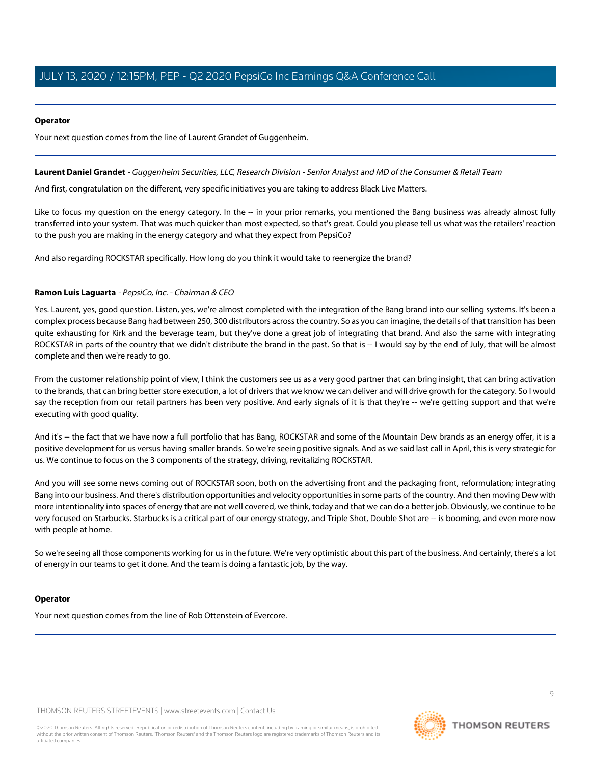#### **Operator**

Your next question comes from the line of Laurent Grandet of Guggenheim.

#### <span id="page-8-0"></span>**Laurent Daniel Grandet** - Guggenheim Securities, LLC, Research Division - Senior Analyst and MD of the Consumer & Retail Team

And first, congratulation on the different, very specific initiatives you are taking to address Black Live Matters.

Like to focus my question on the energy category. In the -- in your prior remarks, you mentioned the Bang business was already almost fully transferred into your system. That was much quicker than most expected, so that's great. Could you please tell us what was the retailers' reaction to the push you are making in the energy category and what they expect from PepsiCo?

And also regarding ROCKSTAR specifically. How long do you think it would take to reenergize the brand?

#### **Ramon Luis Laguarta** - PepsiCo, Inc. - Chairman & CEO

Yes. Laurent, yes, good question. Listen, yes, we're almost completed with the integration of the Bang brand into our selling systems. It's been a complex process because Bang had between 250, 300 distributors across the country. So as you can imagine, the details of that transition has been quite exhausting for Kirk and the beverage team, but they've done a great job of integrating that brand. And also the same with integrating ROCKSTAR in parts of the country that we didn't distribute the brand in the past. So that is -- I would say by the end of July, that will be almost complete and then we're ready to go.

From the customer relationship point of view, I think the customers see us as a very good partner that can bring insight, that can bring activation to the brands, that can bring better store execution, a lot of drivers that we know we can deliver and will drive growth for the category. So I would say the reception from our retail partners has been very positive. And early signals of it is that they're -- we're getting support and that we're executing with good quality.

And it's -- the fact that we have now a full portfolio that has Bang, ROCKSTAR and some of the Mountain Dew brands as an energy offer, it is a positive development for us versus having smaller brands. So we're seeing positive signals. And as we said last call in April, this is very strategic for us. We continue to focus on the 3 components of the strategy, driving, revitalizing ROCKSTAR.

And you will see some news coming out of ROCKSTAR soon, both on the advertising front and the packaging front, reformulation; integrating Bang into our business. And there's distribution opportunities and velocity opportunities in some parts of the country. And then moving Dew with more intentionality into spaces of energy that are not well covered, we think, today and that we can do a better job. Obviously, we continue to be very focused on Starbucks. Starbucks is a critical part of our energy strategy, and Triple Shot, Double Shot are -- is booming, and even more now with people at home.

So we're seeing all those components working for us in the future. We're very optimistic about this part of the business. And certainly, there's a lot of energy in our teams to get it done. And the team is doing a fantastic job, by the way.

#### **Operator**

Your next question comes from the line of Rob Ottenstein of Evercore.

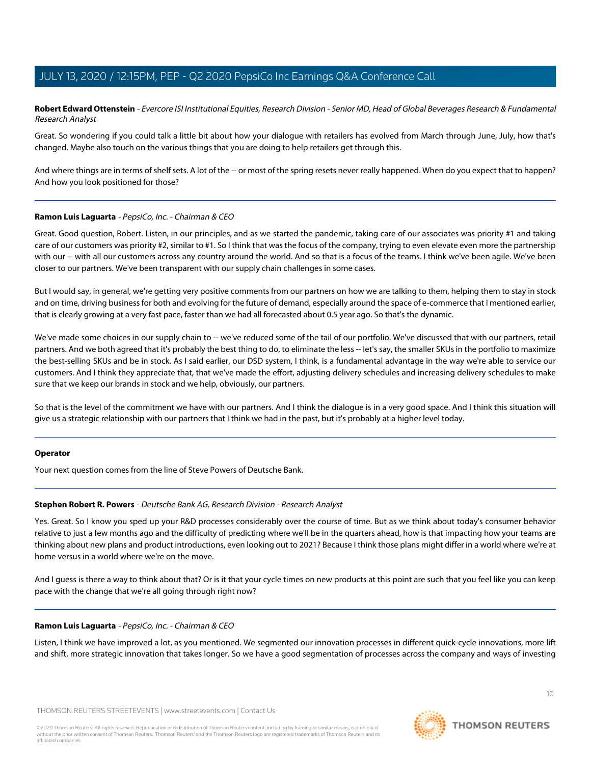<span id="page-9-0"></span>**Robert Edward Ottenstein** - Evercore ISI Institutional Equities, Research Division - Senior MD, Head of Global Beverages Research & Fundamental Research Analyst

Great. So wondering if you could talk a little bit about how your dialogue with retailers has evolved from March through June, July, how that's changed. Maybe also touch on the various things that you are doing to help retailers get through this.

And where things are in terms of shelf sets. A lot of the -- or most of the spring resets never really happened. When do you expect that to happen? And how you look positioned for those?

#### **Ramon Luis Laguarta** - PepsiCo, Inc. - Chairman & CEO

Great. Good question, Robert. Listen, in our principles, and as we started the pandemic, taking care of our associates was priority #1 and taking care of our customers was priority #2, similar to #1. So I think that was the focus of the company, trying to even elevate even more the partnership with our -- with all our customers across any country around the world. And so that is a focus of the teams. I think we've been agile. We've been closer to our partners. We've been transparent with our supply chain challenges in some cases.

But I would say, in general, we're getting very positive comments from our partners on how we are talking to them, helping them to stay in stock and on time, driving business for both and evolving for the future of demand, especially around the space of e-commerce that I mentioned earlier, that is clearly growing at a very fast pace, faster than we had all forecasted about 0.5 year ago. So that's the dynamic.

We've made some choices in our supply chain to -- we've reduced some of the tail of our portfolio. We've discussed that with our partners, retail partners. And we both agreed that it's probably the best thing to do, to eliminate the less -- let's say, the smaller SKUs in the portfolio to maximize the best-selling SKUs and be in stock. As I said earlier, our DSD system, I think, is a fundamental advantage in the way we're able to service our customers. And I think they appreciate that, that we've made the effort, adjusting delivery schedules and increasing delivery schedules to make sure that we keep our brands in stock and we help, obviously, our partners.

So that is the level of the commitment we have with our partners. And I think the dialogue is in a very good space. And I think this situation will give us a strategic relationship with our partners that I think we had in the past, but it's probably at a higher level today.

#### <span id="page-9-1"></span>**Operator**

Your next question comes from the line of Steve Powers of Deutsche Bank.

#### **Stephen Robert R. Powers** - Deutsche Bank AG, Research Division - Research Analyst

Yes. Great. So I know you sped up your R&D processes considerably over the course of time. But as we think about today's consumer behavior relative to just a few months ago and the difficulty of predicting where we'll be in the quarters ahead, how is that impacting how your teams are thinking about new plans and product introductions, even looking out to 2021? Because I think those plans might differ in a world where we're at home versus in a world where we're on the move.

And I guess is there a way to think about that? Or is it that your cycle times on new products at this point are such that you feel like you can keep pace with the change that we're all going through right now?

#### **Ramon Luis Laguarta** - PepsiCo, Inc. - Chairman & CEO

Listen, I think we have improved a lot, as you mentioned. We segmented our innovation processes in different quick-cycle innovations, more lift and shift, more strategic innovation that takes longer. So we have a good segmentation of processes across the company and ways of investing

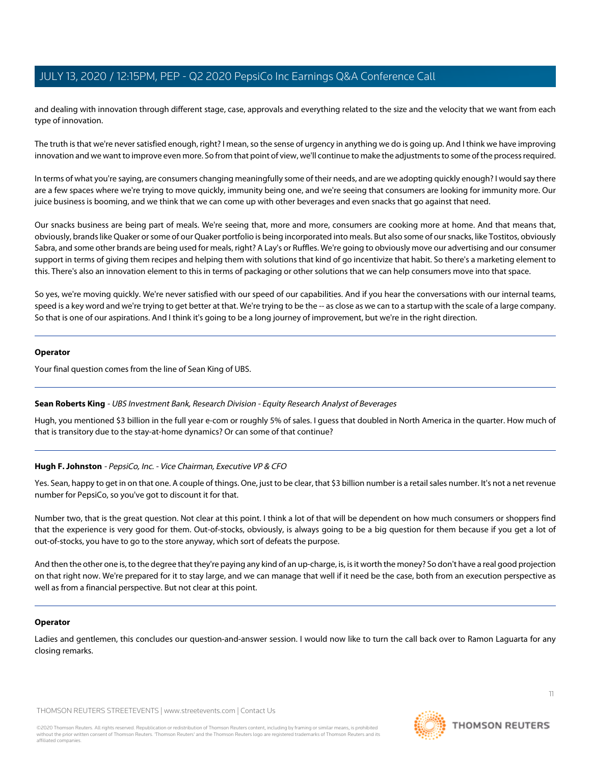and dealing with innovation through different stage, case, approvals and everything related to the size and the velocity that we want from each type of innovation.

The truth is that we're never satisfied enough, right? I mean, so the sense of urgency in anything we do is going up. And I think we have improving innovation and we want to improve even more. So from that point of view, we'll continue to make the adjustments to some of the process required.

In terms of what you're saying, are consumers changing meaningfully some of their needs, and are we adopting quickly enough? I would say there are a few spaces where we're trying to move quickly, immunity being one, and we're seeing that consumers are looking for immunity more. Our juice business is booming, and we think that we can come up with other beverages and even snacks that go against that need.

Our snacks business are being part of meals. We're seeing that, more and more, consumers are cooking more at home. And that means that, obviously, brands like Quaker or some of our Quaker portfolio is being incorporated into meals. But also some of our snacks, like Tostitos, obviously Sabra, and some other brands are being used for meals, right? A Lay's or Ruffles. We're going to obviously move our advertising and our consumer support in terms of giving them recipes and helping them with solutions that kind of go incentivize that habit. So there's a marketing element to this. There's also an innovation element to this in terms of packaging or other solutions that we can help consumers move into that space.

So yes, we're moving quickly. We're never satisfied with our speed of our capabilities. And if you hear the conversations with our internal teams, speed is a key word and we're trying to get better at that. We're trying to be the -- as close as we can to a startup with the scale of a large company. So that is one of our aspirations. And I think it's going to be a long journey of improvement, but we're in the right direction.

#### **Operator**

<span id="page-10-0"></span>Your final question comes from the line of Sean King of UBS.

#### **Sean Roberts King** - UBS Investment Bank, Research Division - Equity Research Analyst of Beverages

Hugh, you mentioned \$3 billion in the full year e-com or roughly 5% of sales. I guess that doubled in North America in the quarter. How much of that is transitory due to the stay-at-home dynamics? Or can some of that continue?

#### **Hugh F. Johnston** - PepsiCo, Inc. - Vice Chairman, Executive VP & CFO

Yes. Sean, happy to get in on that one. A couple of things. One, just to be clear, that \$3 billion number is a retail sales number. It's not a net revenue number for PepsiCo, so you've got to discount it for that.

Number two, that is the great question. Not clear at this point. I think a lot of that will be dependent on how much consumers or shoppers find that the experience is very good for them. Out-of-stocks, obviously, is always going to be a big question for them because if you get a lot of out-of-stocks, you have to go to the store anyway, which sort of defeats the purpose.

And then the other one is, to the degree that they're paying any kind of an up-charge, is, is it worth the money? So don't have a real good projection on that right now. We're prepared for it to stay large, and we can manage that well if it need be the case, both from an execution perspective as well as from a financial perspective. But not clear at this point.

#### **Operator**

Ladies and gentlemen, this concludes our question-and-answer session. I would now like to turn the call back over to Ramon Laguarta for any closing remarks.